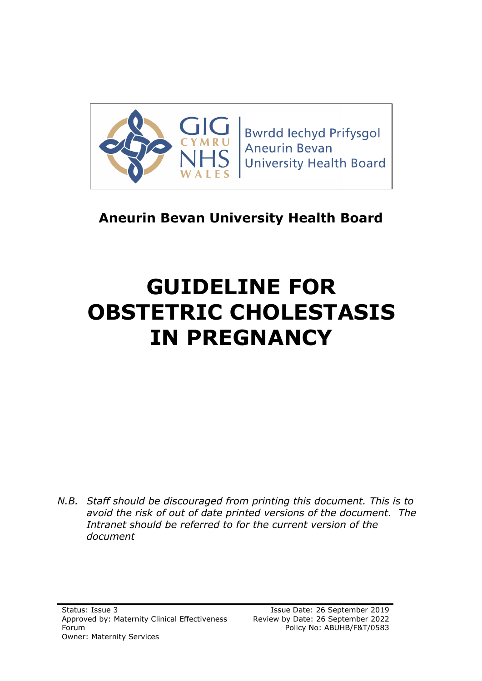

**Bwrdd lechyd Prifysgol** Aneurin Bevan **University Health Board** 

# **Aneurin Bevan University Health Board**

# **GUIDELINE FOR OBSTETRIC CHOLESTASIS IN PREGNANCY**

*N.B. Staff should be discouraged from printing this document. This is to avoid the risk of out of date printed versions of the document. The Intranet should be referred to for the current version of the document*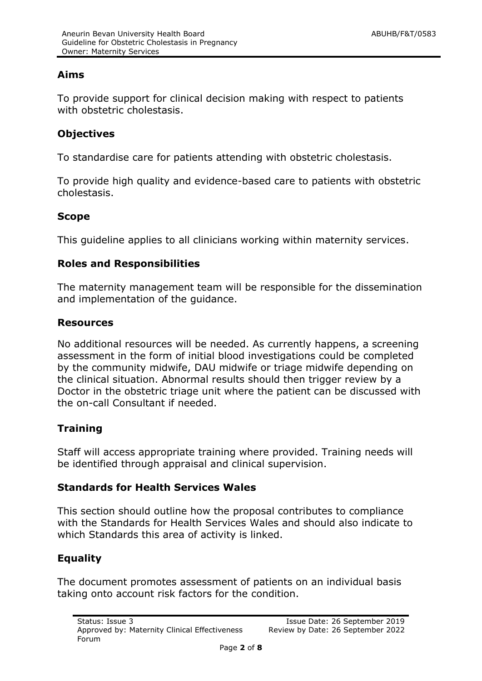# **Aims**

To provide support for clinical decision making with respect to patients with obstetric cholestasis.

# **Objectives**

To standardise care for patients attending with obstetric cholestasis.

To provide high quality and evidence-based care to patients with obstetric cholestasis.

#### **Scope**

This guideline applies to all clinicians working within maternity services.

#### **Roles and Responsibilities**

The maternity management team will be responsible for the dissemination and implementation of the guidance.

#### **Resources**

No additional resources will be needed. As currently happens, a screening assessment in the form of initial blood investigations could be completed by the community midwife, DAU midwife or triage midwife depending on the clinical situation. Abnormal results should then trigger review by a Doctor in the obstetric triage unit where the patient can be discussed with the on-call Consultant if needed.

# **Training**

Staff will access appropriate training where provided. Training needs will be identified through appraisal and clinical supervision.

#### **Standards for Health Services Wales**

This section should outline how the proposal contributes to compliance with the Standards for Health Services Wales and should also indicate to which Standards this area of activity is linked.

# **Equality**

The document promotes assessment of patients on an individual basis taking onto account risk factors for the condition.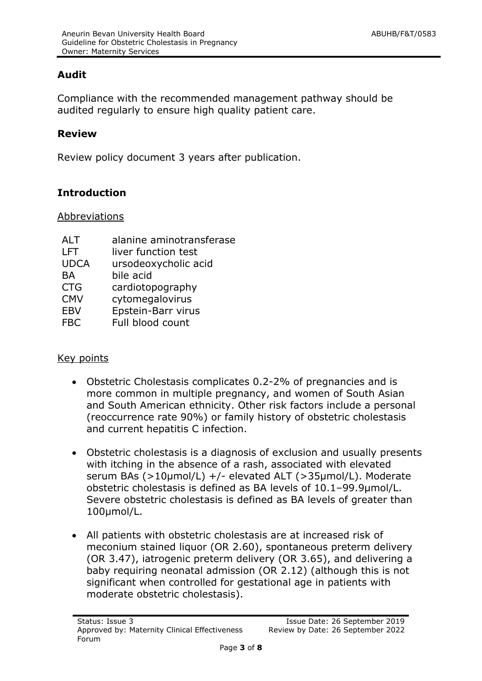# **Audit**

Compliance with the recommended management pathway should be audited regularly to ensure high quality patient care.

#### **Review**

Review policy document 3 years after publication.

# **Introduction**

#### Abbreviations

| <b>ALT</b>  | alanine aminotransferase |
|-------------|--------------------------|
| LFT         | liver function test      |
| <b>UDCA</b> | ursodeoxycholic acid     |
| <b>BA</b>   | bile acid                |
| <b>CTG</b>  | cardiotopography         |
| <b>CMV</b>  | cytomegalovirus          |
| <b>EBV</b>  | Epstein-Barr virus       |
| FBC         | Full blood count         |

#### Key points

- Obstetric Cholestasis complicates 0.2-2% of pregnancies and is more common in multiple pregnancy, and women of South Asian and South American ethnicity. Other risk factors include a personal (reoccurrence rate 90%) or family history of obstetric cholestasis and current hepatitis C infection.
- Obstetric cholestasis is a diagnosis of exclusion and usually presents with itching in the absence of a rash, associated with elevated serum BAs (>10µmol/L) +/- elevated ALT (>35µmol/L). Moderate obstetric cholestasis is defined as BA levels of 10.1–99.9µmol/L. Severe obstetric cholestasis is defined as BA levels of greater than 100µmol/L.
- All patients with obstetric cholestasis are at increased risk of meconium stained liquor (OR 2.60), spontaneous preterm delivery (OR 3.47), iatrogenic preterm delivery (OR 3.65), and delivering a baby requiring neonatal admission (OR 2.12) (although this is not significant when controlled for gestational age in patients with moderate obstetric cholestasis).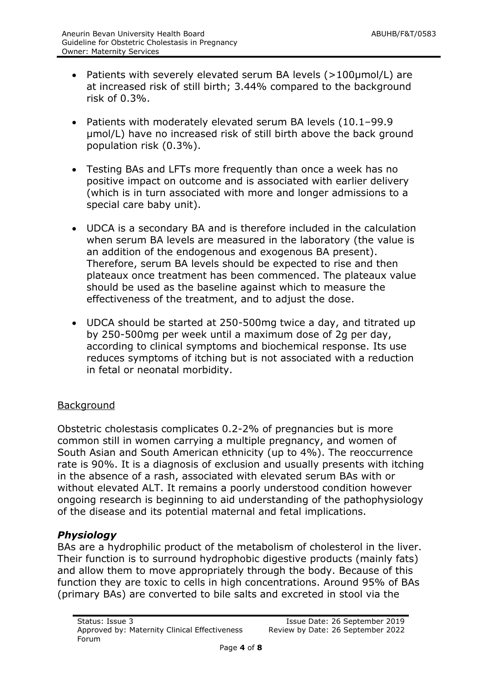- Patients with severely elevated serum BA levels (>100µmol/L) are at increased risk of still birth; 3.44% compared to the background risk of 0.3%.
- Patients with moderately elevated serum BA levels (10.1–99.9 µmol/L) have no increased risk of still birth above the back ground population risk (0.3%).
- Testing BAs and LFTs more frequently than once a week has no positive impact on outcome and is associated with earlier delivery (which is in turn associated with more and longer admissions to a special care baby unit).
- UDCA is a secondary BA and is therefore included in the calculation when serum BA levels are measured in the laboratory (the value is an addition of the endogenous and exogenous BA present). Therefore, serum BA levels should be expected to rise and then plateaux once treatment has been commenced. The plateaux value should be used as the baseline against which to measure the effectiveness of the treatment, and to adjust the dose.
- UDCA should be started at 250-500mg twice a day, and titrated up by 250-500mg per week until a maximum dose of 2g per day, according to clinical symptoms and biochemical response. Its use reduces symptoms of itching but is not associated with a reduction in fetal or neonatal morbidity.

# Background

Obstetric cholestasis complicates 0.2-2% of pregnancies but is more common still in women carrying a multiple pregnancy, and women of South Asian and South American ethnicity (up to 4%). The reoccurrence rate is 90%. It is a diagnosis of exclusion and usually presents with itching in the absence of a rash, associated with elevated serum BAs with or without elevated ALT. It remains a poorly understood condition however ongoing research is beginning to aid understanding of the pathophysiology of the disease and its potential maternal and fetal implications.

#### *Physiology*

BAs are a hydrophilic product of the metabolism of cholesterol in the liver. Their function is to surround hydrophobic digestive products (mainly fats) and allow them to move appropriately through the body. Because of this function they are toxic to cells in high concentrations. Around 95% of BAs (primary BAs) are converted to bile salts and excreted in stool via the

Page **4** of **8**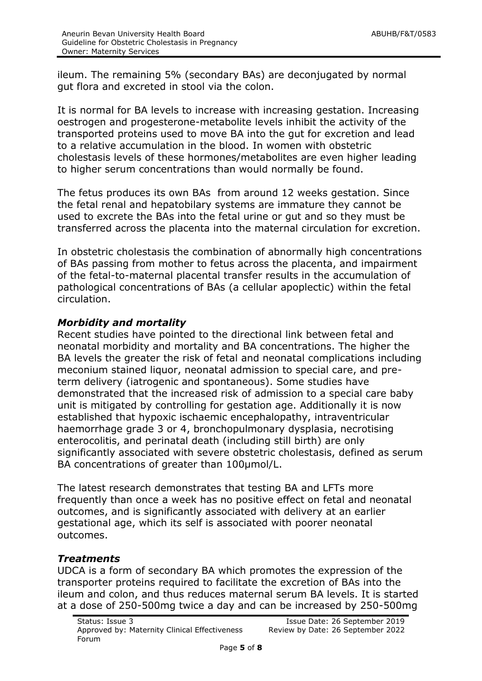ileum. The remaining 5% (secondary BAs) are deconjugated by normal gut flora and excreted in stool via the colon.

It is normal for BA levels to increase with increasing gestation. Increasing oestrogen and progesterone-metabolite levels inhibit the activity of the transported proteins used to move BA into the gut for excretion and lead to a relative accumulation in the blood. In women with obstetric cholestasis levels of these hormones/metabolites are even higher leading to higher serum concentrations than would normally be found.

The fetus produces its own BAs from around 12 weeks gestation. Since the fetal renal and hepatobilary systems are immature they cannot be used to excrete the BAs into the fetal urine or gut and so they must be transferred across the placenta into the maternal circulation for excretion.

In obstetric cholestasis the combination of abnormally high concentrations of BAs passing from mother to fetus across the placenta, and impairment of the fetal-to-maternal placental transfer results in the accumulation of pathological concentrations of BAs (a cellular apoplectic) within the fetal circulation.

# *Morbidity and mortality*

Recent studies have pointed to the directional link between fetal and neonatal morbidity and mortality and BA concentrations. The higher the BA levels the greater the risk of fetal and neonatal complications including meconium stained liquor, neonatal admission to special care, and preterm delivery (iatrogenic and spontaneous). Some studies have demonstrated that the increased risk of admission to a special care baby unit is mitigated by controlling for gestation age. Additionally it is now established that hypoxic ischaemic encephalopathy, intraventricular haemorrhage grade 3 or 4, bronchopulmonary dysplasia, necrotising enterocolitis, and perinatal death (including still birth) are only significantly associated with severe obstetric cholestasis, defined as serum BA concentrations of greater than 100µmol/L.

The latest research demonstrates that testing BA and LFTs more frequently than once a week has no positive effect on fetal and neonatal outcomes, and is significantly associated with delivery at an earlier gestational age, which its self is associated with poorer neonatal outcomes.

#### *Treatments*

UDCA is a form of secondary BA which promotes the expression of the transporter proteins required to facilitate the excretion of BAs into the ileum and colon, and thus reduces maternal serum BA levels. It is started at a dose of 250-500mg twice a day and can be increased by 250-500mg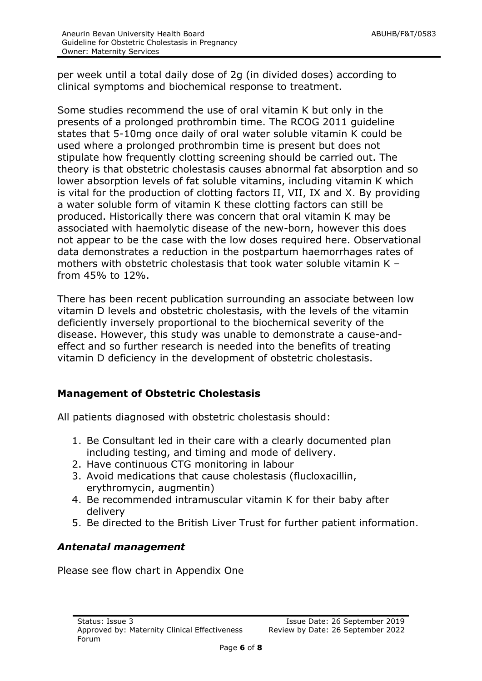per week until a total daily dose of 2g (in divided doses) according to clinical symptoms and biochemical response to treatment.

Some studies recommend the use of oral vitamin K but only in the presents of a prolonged prothrombin time. The RCOG 2011 guideline states that 5-10mg once daily of oral water soluble vitamin K could be used where a prolonged prothrombin time is present but does not stipulate how frequently clotting screening should be carried out. The theory is that obstetric cholestasis causes abnormal fat absorption and so lower absorption levels of fat soluble vitamins, including vitamin K which is vital for the production of clotting factors II, VII, IX and X. By providing a water soluble form of vitamin K these clotting factors can still be produced. Historically there was concern that oral vitamin K may be associated with haemolytic disease of the new-born, however this does not appear to be the case with the low doses required here. Observational data demonstrates a reduction in the postpartum haemorrhages rates of mothers with obstetric cholestasis that took water soluble vitamin K – from 45% to 12%.

There has been recent publication surrounding an associate between low vitamin D levels and obstetric cholestasis, with the levels of the vitamin deficiently inversely proportional to the biochemical severity of the disease. However, this study was unable to demonstrate a cause-andeffect and so further research is needed into the benefits of treating vitamin D deficiency in the development of obstetric cholestasis.

# **Management of Obstetric Cholestasis**

All patients diagnosed with obstetric cholestasis should:

- 1. Be Consultant led in their care with a clearly documented plan including testing, and timing and mode of delivery.
- 2. Have continuous CTG monitoring in labour
- 3. Avoid medications that cause cholestasis (flucloxacillin, erythromycin, augmentin)
- 4. Be recommended intramuscular vitamin K for their baby after delivery
- 5. Be directed to the British Liver Trust for further patient information.

# *Antenatal management*

Please see flow chart in Appendix One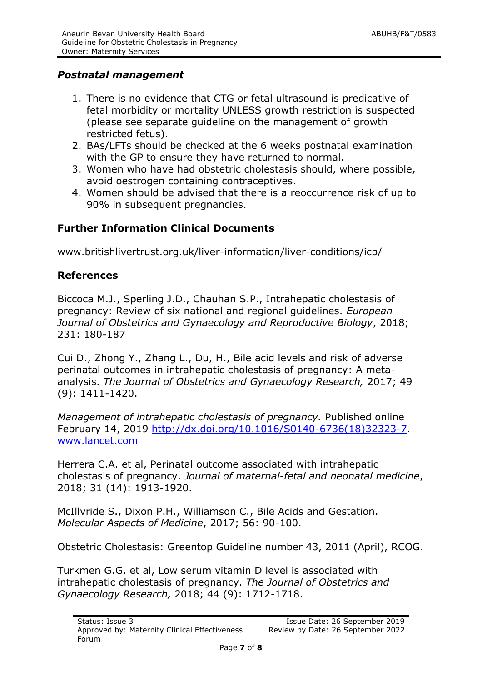# *Postnatal management*

- 1. There is no evidence that CTG or fetal ultrasound is predicative of fetal morbidity or mortality UNLESS growth restriction is suspected (please see separate guideline on the management of growth restricted fetus).
- 2. BAs/LFTs should be checked at the 6 weeks postnatal examination with the GP to ensure they have returned to normal.
- 3. Women who have had obstetric cholestasis should, where possible, avoid oestrogen containing contraceptives.
- 4. Women should be advised that there is a reoccurrence risk of up to 90% in subsequent pregnancies.

# **Further Information Clinical Documents**

www.britishlivertrust.org.uk/liver-information/liver-conditions/icp/

# **References**

Biccoca M.J., Sperling J.D., Chauhan S.P., Intrahepatic cholestasis of pregnancy: Review of six national and regional guidelines. *European Journal of Obstetrics and Gynaecology and Reproductive Biology*, 2018; 231: 180-187

Cui D., Zhong Y., Zhang L., Du, H., Bile acid levels and risk of adverse perinatal outcomes in intrahepatic cholestasis of pregnancy: A metaanalysis. *The Journal of Obstetrics and Gynaecology Research,* 2017; 49 (9): 1411-1420.

*Management of intrahepatic cholestasis of pregnancy.* Published online February 14, 2019 [http://dx.doi.org/10.1016/S0140-6736\(18\)32323-7.](http://dx.doi.org/10.1016/S0140-6736(18)32323-7) [www.lancet.com](http://www.lancet.com/)

Herrera C.A. et al, Perinatal outcome associated with intrahepatic cholestasis of pregnancy. *Journal of maternal-fetal and neonatal medicine*, 2018; 31 (14): 1913-1920.

McIllvride S., Dixon P.H., Williamson C., Bile Acids and Gestation. *Molecular Aspects of Medicine*, 2017; 56: 90-100.

Obstetric Cholestasis: Greentop Guideline number 43, 2011 (April), RCOG.

Turkmen G.G. et al, Low serum vitamin D level is associated with intrahepatic cholestasis of pregnancy. *The Journal of Obstetrics and Gynaecology Research,* 2018; 44 (9): 1712-1718.